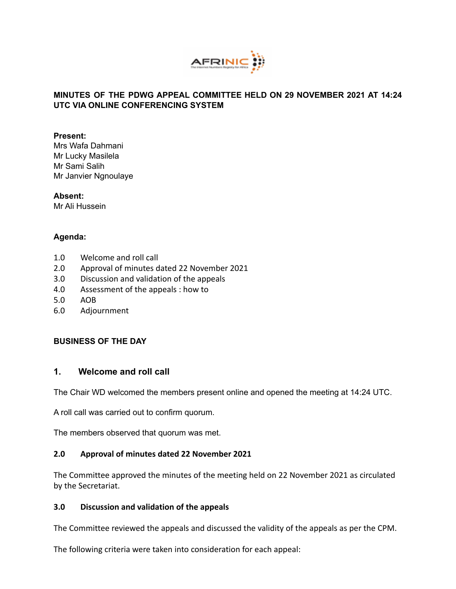

# **MINUTES OF THE PDWG APPEAL COMMITTEE HELD ON 29 NOVEMBER 2021 AT 14:24 UTC VIA ONLINE CONFERENCING SYSTEM**

#### **Present:**

Mrs Wafa Dahmani Mr Lucky Masilela Mr Sami Salih Mr Janvier Ngnoulaye

**Absent:** Mr Ali Hussein

# **Agenda:**

- 1.0 Welcome and roll call
- 2.0 Approval of minutes dated 22 November 2021
- 3.0 Discussion and validation of the appeals
- 4.0 Assessment of the appeals : how to
- 5.0 AOB
- 6.0 Adjournment

# **BUSINESS OF THE DAY**

# **1. Welcome and roll call**

The Chair WD welcomed the members present online and opened the meeting at 14:24 UTC.

A roll call was carried out to confirm quorum.

The members observed that quorum was met.

# **2.0 Approval of minutes dated 22 November 2021**

The Committee approved the minutes of the meeting held on 22 November 2021 as circulated by the Secretariat.

#### **3.0 Discussion and validation of the appeals**

The Committee reviewed the appeals and discussed the validity of the appeals as per the CPM.

The following criteria were taken into consideration for each appeal: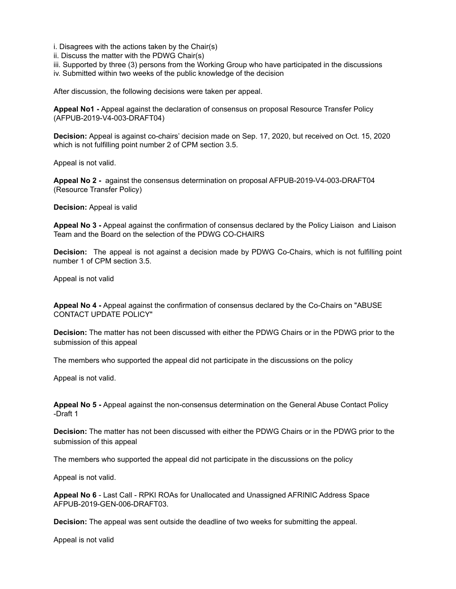- i. Disagrees with the actions taken by the Chair(s)
- ii. Discuss the matter with the PDWG Chair(s)
- iii. Supported by three (3) persons from the Working Group who have participated in the discussions
- iv. Submitted within two weeks of the public knowledge of the decision

After discussion, the following decisions were taken per appeal.

**Appeal No1 -** Appeal against the [declaration](https://www.afrinic.net/ast/pdf/policy/afrinic-appeal-resource-transfer-policy.pdf) of consensus on proposal Resource Transfer Policy [\(AFPUB-2019-V4-003-DRAFT04\)](https://www.afrinic.net/ast/pdf/policy/appeal-consensus-ressource-transfer-policy-updated-20102020.pdf)

**Decision:** Appeal is against co-chairs' decision made on Sep. 17, 2020, but received on Oct. 15, 2020 which is not fulfilling point number 2 of CPM section 3.5.

Appeal is not valid.

**Appeal No 2 -** against the consensus determination on proposal [AFPUB-2019-V4-003-DRAFT04](https://www.afrinic.net/ast/pdf/policy/appeal-consensus-ressource-transfer-policy-updated-20102020.pdf) [\(Resource](https://www.afrinic.net/ast/pdf/policy/appeal-consensus-ressource-transfer-policy-updated-20102020.pdf) Transfer Policy)

**Decision:** Appeal is valid

**Appeal No 3 -** Appeal against the confirmation of consensus declared by the Policy Liaison and Liaison Team and the Board on the selection of the PDWG [CO-CHAIRS](https://lists.afrinic.net/pipermail/rpd/2021/013119.html)

**Decision:** The appeal is not against a decision made by PDWG Co-Chairs, which is not fulfilling point number 1 of CPM section 3.5.

Appeal is not valid

**Appeal No 4 -** Appeal against the [confirmation](https://lists.afrinic.net/pipermail/rpd/2021/013337.html) of consensus declared by the Co-Chairs on "ABUSE [CONTACT](https://lists.afrinic.net/pipermail/rpd/2021/013337.html) UPDATE POLICY"

**Decision:** The matter has not been discussed with either the PDWG Chairs or in the PDWG prior to the submission of this appeal

The members who supported the appeal did not participate in the discussions on the policy

Appeal is not valid.

**Appeal No 5 -** Appeal against the [non-consensus](https://lists.afrinic.net/pipermail/rpd/2021/013338.html) determination on the General Abuse Contact Policy [-Draft](https://lists.afrinic.net/pipermail/rpd/2021/013338.html) 1

**Decision:** The matter has not been discussed with either the PDWG Chairs or in the PDWG prior to the submission of this appeal

The members who supported the appeal did not participate in the discussions on the policy

Appeal is not valid.

**Appeal No 6** - Last Call - RPKI ROAs for [Unallocated](https://lists.afrinic.net/pipermail/rpd/2021/013590.html) and Unassigned AFRINIC Address Space [AFPUB-2019-GEN-006-DRAFT03.](https://lists.afrinic.net/pipermail/rpd/2021/013590.html)

**Decision:** The appeal was sent outside the deadline of two weeks for submitting the appeal.

Appeal is not valid